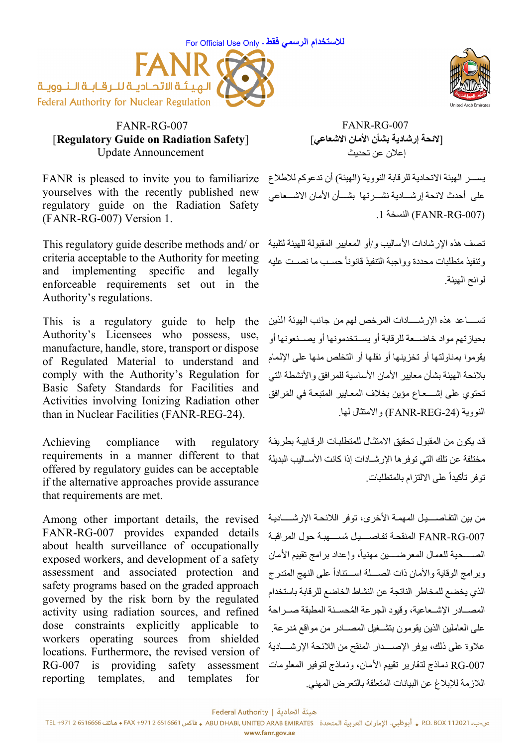



## FANR-RG-007 [**Regulatory Guide on Radiation Safety**] Update Announcement

FANR is pleased to invite you to familiarize yourselves with the recently published new regulatory guide on the Radiation Safety (FANR-RG-007) Version 1.

This regulatory guide describe methods and/ or criteria acceptable to the Authority for meeting and implementing specific and legally enforceable requirements set out in the Authority's regulations.

This is a regulatory guide to help the Authority's Licensees who possess, use, manufacture, handle, store, transport or dispose of Regulated Material to understand and comply with the Authority's Regulation for Basic Safety Standards for Facilities and Activities involving Ionizing Radiation other than in Nuclear Facilities (FANR-REG-24).

Achieving compliance with regulatory requirements in a manner different to that offered by regulatory guides can be acceptable if the alternative approaches provide assurance that requirements are met.

Among other important details, the revised FANR-RG-007 provides expanded details about health surveillance of occupationally exposed workers, and development of a safety assessment and associated protection and safety programs based on the graded approach governed by the risk born by the regulated activity using radiation sources, and refined dose constraints explicitly applicable to workers operating sources from shielded locations. Furthermore, the revised version of RG-007 is providing safety assessment reporting templates, and templates for



FANR-RG-007 [**لائحة إرشادية بشأن الأمان الاشعاعي**] إعلان عن تحديث

يســـر الهيئة الاتحادية للر قابة النووية (الهيئة) أن تدعوكم للاطلاع على أحدث لائحة إرشـــادية نشـــرتها بشـــأن الأمان الاشـــعاعي .1 النسخة) FANR-RG-007)

تصف هذه الإرشادات الأساليب و/أو المعايير المقبولة للهيئة لتلبية وتنفيذ منطلبات محددة وواجبة التنفيذ قانونأ حسـب ما نصـت عليه لوائح الهيئة.

تســــــاعد هذه الإرشـــــــادات المرخص لهم من جانب الهيئة الذين بحيازتهم مواد خاضمعة للرقابة أو يسمتخدمونها أو يصمنعونها أو يقوموا بمناولتها أو تخزينها أو نقلها أو التخلص منها على الإلمام بلائحة الهيئة بشأن معايير الأمان الأساسية للمرافق والأنشطة التي تحتوي على إشــــعــاع مؤين بخلاف المعـايير المتبعـة في المَرافق النووية (-24REG-FANR (والامتثال لها.

قد يكون من المقبول تحقيق الامتثـال للمتطلبـات الرقـابيـة بطريقـة مختلفة عن تلك التي توفر ها الإرشـادات إذا كانت الأسـاليب البديلة توفر تأكيدا على الالتزام بالمتطلبات. ً

من بين التفاصــــيل المهمة الأخرى، توفر اللائحة الإرشـــــاديـة -007RG-FANR المنقحѧة تفѧاصѧѧѧѧѧѧيѧل ُمسѧѧѧѧѧѧهبѧة حول المراقبѧة الصســحية للعمال المعرضـــين مهنياً، وإعداد برامج تقييم الأمان وبرامج الوقاية والأمان ذات الصـــلة اســتناداً على النهج المتدرج الذي يخضع للمخاطر الناتجة عن النشاط الخاضع للرقابة باستخدام المصبادر الاشبعاعية، وقيود الجرعة المُحسنة المطبقة صبر احة على العاملين الذين يقومون بتشـغيل المصــادر من مواقع مُدرعة. علاوة على ذلك، يوفر الإصب1ار المنقح من اللائحة الإرشـــادية -007RG نماذج لتقارير تقييم الأمان، ونماذج لتوفير المعلومات اللازمة للإبلاغ عن البيانات المتعلقة بالتعرض المهني.

هيئة اتحادية | Federal Authority